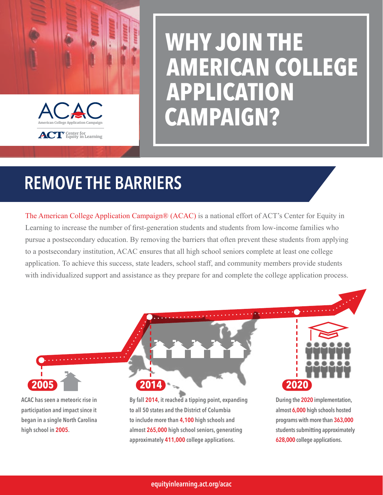

# **WHY JOIN THE AMERICAN COLLEGE APPLICATION CAMPAIGN?**

# REMOVE THE BARRIERS

The American College Application Campaign® (ACAC) is a national effort of ACT's Center for Equity in Learning to increase the number of first-generation students and students from low-income families who pursue a postsecondary education. By removing the barriers that often prevent these students from applying to a postsecondary institution, ACAC ensures that all high school seniors complete at least one college application. To achieve this success, state leaders, school staff, and community members provide students with individualized support and assistance as they prepare for and complete the college application process.

ACAC has seen a meteoric rise in participation and impact since it began in a single North Carolina high school in 2005.

By fall 2014, it reached a tipping point, expanding to all 50 states and the District of Columbia to include more than 4,100 high schools and almost 265,000 high school seniors, generating approximately 411,000 college applications.

**2005 2014**



During the 2020 implementation, almost 6,000 high schools hosted programs with more than 363,000 students submitting approximately 628,000 college applications.